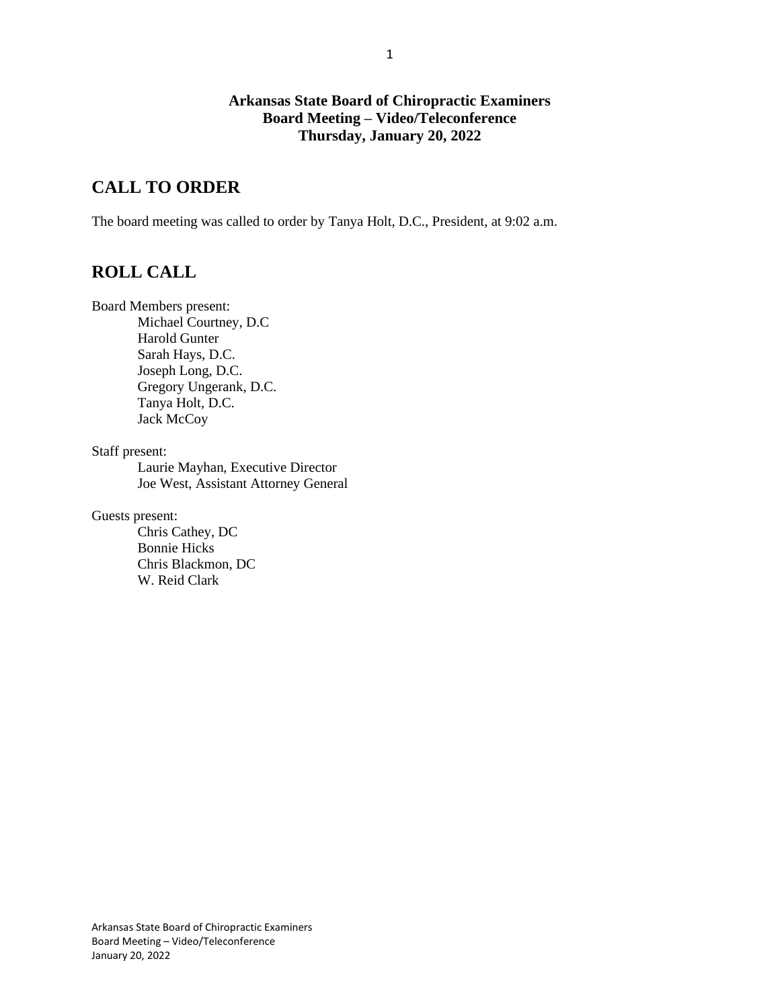### **Arkansas State Board of Chiropractic Examiners Board Meeting – Video/Teleconference Thursday, January 20, 2022**

# **CALL TO ORDER**

The board meeting was called to order by Tanya Holt, D.C., President, at 9:02 a.m.

# **ROLL CALL**

Board Members present:

Michael Courtney, D.C Harold Gunter Sarah Hays, D.C. Joseph Long, D.C. Gregory Ungerank, D.C. Tanya Holt, D.C. Jack McCoy

Staff present:

Laurie Mayhan, Executive Director Joe West, Assistant Attorney General

Guests present:

Chris Cathey, DC Bonnie Hicks Chris Blackmon, DC W. Reid Clark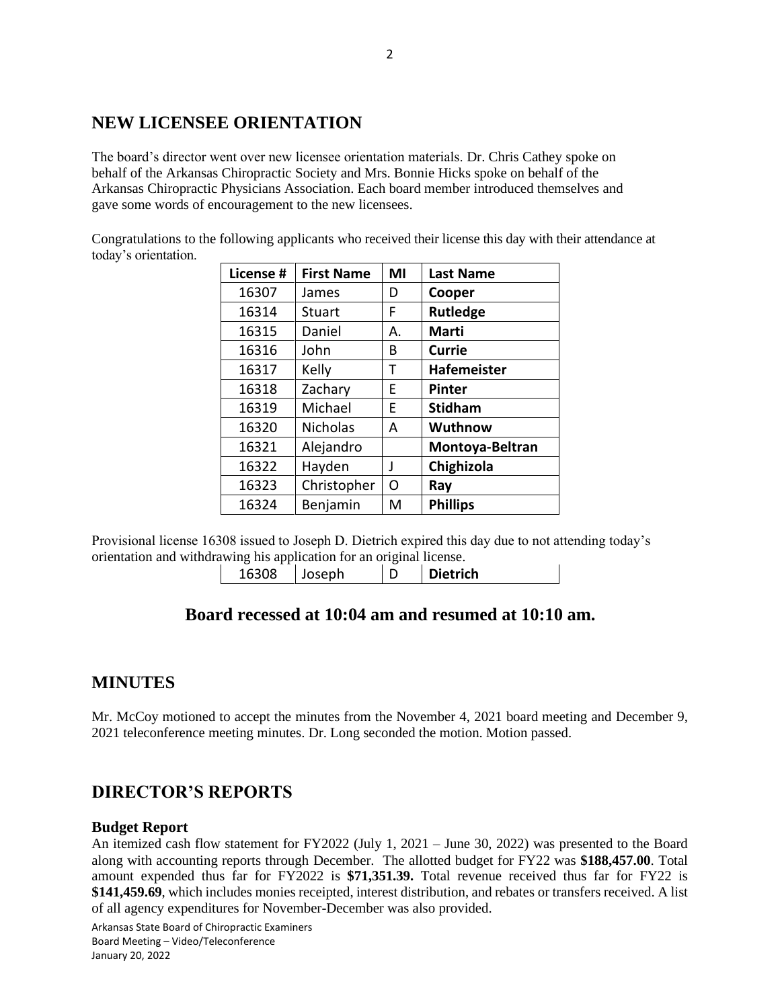## **NEW LICENSEE ORIENTATION**

The board's director went over new licensee orientation materials. Dr. Chris Cathey spoke on behalf of the Arkansas Chiropractic Society and Mrs. Bonnie Hicks spoke on behalf of the Arkansas Chiropractic Physicians Association. Each board member introduced themselves and gave some words of encouragement to the new licensees.

Congratulations to the following applicants who received their license this day with their attendance at today's orientation.

| License # | <b>First Name</b> | ΜI | <b>Last Name</b>   |
|-----------|-------------------|----|--------------------|
| 16307     | James             | D  | Cooper             |
| 16314     | Stuart            | F  | <b>Rutledge</b>    |
| 16315     | Daniel            | Α. | <b>Marti</b>       |
| 16316     | John              | В  | <b>Currie</b>      |
| 16317     | Kelly             | т  | <b>Hafemeister</b> |
| 16318     | Zachary           | E  | <b>Pinter</b>      |
| 16319     | Michael           | E  | <b>Stidham</b>     |
| 16320     | <b>Nicholas</b>   | А  | Wuthnow            |
| 16321     | Alejandro         |    | Montoya-Beltran    |
| 16322     | Hayden            | J  | Chighizola         |
| 16323     | Christopher       | Ω  | Ray                |
| 16324     | Benjamin          | м  | <b>Phillips</b>    |

Provisional license 16308 issued to Joseph D. Dietrich expired this day due to not attending today's orientation and withdrawing his application for an original license.

| 16308<br><b>Dietrich</b><br>losenh |
|------------------------------------|
|------------------------------------|

### **Board recessed at 10:04 am and resumed at 10:10 am.**

### **MINUTES**

Mr. McCoy motioned to accept the minutes from the November 4, 2021 board meeting and December 9, 2021 teleconference meeting minutes. Dr. Long seconded the motion. Motion passed.

## **DIRECTOR'S REPORTS**

#### **Budget Report**

An itemized cash flow statement for FY2022 (July 1, 2021 – June 30, 2022) was presented to the Board along with accounting reports through December. The allotted budget for FY22 was **\$188,457.00**. Total amount expended thus far for FY2022 is **\$71,351.39.** Total revenue received thus far for FY22 is **\$141,459.69**, which includes monies receipted, interest distribution, and rebates or transfers received. A list of all agency expenditures for November-December was also provided.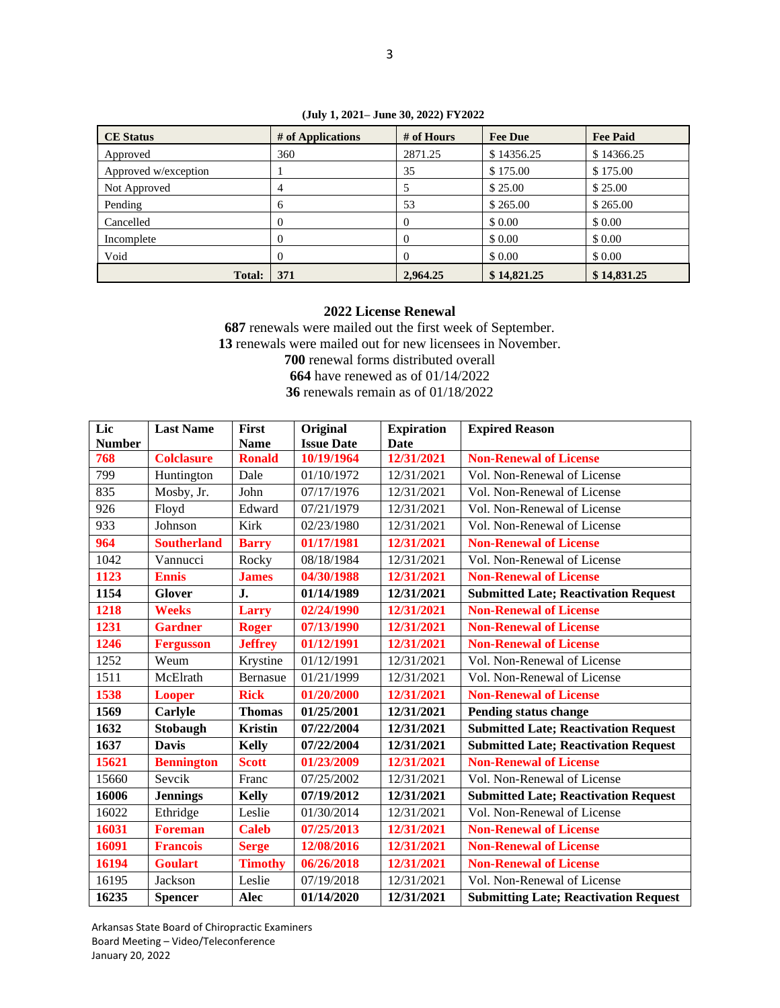| <b>CE</b> Status     | # of Applications | # of Hours | <b>Fee Due</b> | <b>Fee Paid</b> |
|----------------------|-------------------|------------|----------------|-----------------|
| Approved             | 360               | 2871.25    | \$14356.25     | \$14366.25      |
| Approved w/exception |                   | 35         | \$175.00       | \$175.00        |
| Not Approved         | $\overline{4}$    |            | \$25.00        | \$25.00         |
| Pending              | 6                 | 53         | \$265.00       | \$265.00        |
| Cancelled            |                   |            | \$0.00         | \$0.00          |
| Incomplete           |                   |            | \$0.00         | \$ 0.00         |
| Void                 | $\theta$          |            | \$0.00         | \$0.00          |
| <b>Total:</b>        | 371               | 2.964.25   | \$14,821.25    | \$14,831.25     |

**(July 1, 2021– June 30, 2022) FY2022**

#### **2022 License Renewal**

 renewals were mailed out the first week of September. renewals were mailed out for new licensees in November. renewal forms distributed overall have renewed as of 01/14/2022 renewals remain as of 01/18/2022

| Lic           | <b>Last Name</b>   | <b>First</b>   | Original          | <b>Expiration</b> | <b>Expired Reason</b>                        |  |
|---------------|--------------------|----------------|-------------------|-------------------|----------------------------------------------|--|
| <b>Number</b> |                    | <b>Name</b>    | <b>Issue Date</b> | Date              |                                              |  |
| 768           | <b>Colclasure</b>  | <b>Ronald</b>  | 10/19/1964        | 12/31/2021        | <b>Non-Renewal of License</b>                |  |
| 799           | Huntington         | Dale           | 01/10/1972        | 12/31/2021        | Vol. Non-Renewal of License                  |  |
| 835           | Mosby, Jr.         | John           | 07/17/1976        | 12/31/2021        | Vol. Non-Renewal of License                  |  |
| 926           | Floyd              | Edward         | 07/21/1979        | 12/31/2021        | Vol. Non-Renewal of License                  |  |
| 933           | Johnson            | Kirk           | 02/23/1980        | 12/31/2021        | Vol. Non-Renewal of License                  |  |
| 964           | <b>Southerland</b> | <b>Barry</b>   | 01/17/1981        | 12/31/2021        | <b>Non-Renewal of License</b>                |  |
| 1042          | Vannucci           | Rocky          | 08/18/1984        | 12/31/2021        | Vol. Non-Renewal of License                  |  |
| 1123          | <b>Ennis</b>       | <b>James</b>   | 04/30/1988        | 12/31/2021        | <b>Non-Renewal of License</b>                |  |
| 1154          | <b>Glover</b>      | J.             | 01/14/1989        | 12/31/2021        | <b>Submitted Late; Reactivation Request</b>  |  |
| 1218          | <b>Weeks</b>       | <b>Larry</b>   | 02/24/1990        | 12/31/2021        | <b>Non-Renewal of License</b>                |  |
| 1231          | <b>Gardner</b>     | <b>Roger</b>   | 07/13/1990        | 12/31/2021        | <b>Non-Renewal of License</b>                |  |
| 1246          | <b>Fergusson</b>   | <b>Jeffrey</b> | 01/12/1991        | 12/31/2021        | <b>Non-Renewal of License</b>                |  |
| 1252          | Weum               | Krystine       | 01/12/1991        | 12/31/2021        | Vol. Non-Renewal of License                  |  |
| 1511          | McElrath           | Bernasue       | 01/21/1999        | 12/31/2021        | Vol. Non-Renewal of License                  |  |
| 1538          | <b>Looper</b>      | <b>Rick</b>    | 01/20/2000        | 12/31/2021        | <b>Non-Renewal of License</b>                |  |
| 1569          | Carlyle            | <b>Thomas</b>  | 01/25/2001        | 12/31/2021        | Pending status change                        |  |
| 1632          | Stobaugh           | <b>Kristin</b> | 07/22/2004        | 12/31/2021        | <b>Submitted Late; Reactivation Request</b>  |  |
| 1637          | <b>Davis</b>       | <b>Kelly</b>   | 07/22/2004        | 12/31/2021        | <b>Submitted Late; Reactivation Request</b>  |  |
| 15621         | <b>Bennington</b>  | <b>Scott</b>   | 01/23/2009        | 12/31/2021        | <b>Non-Renewal of License</b>                |  |
| 15660         | Sevcik             | Franc          | 07/25/2002        | 12/31/2021        | Vol. Non-Renewal of License                  |  |
| 16006         | <b>Jennings</b>    | <b>Kelly</b>   | 07/19/2012        | 12/31/2021        | <b>Submitted Late; Reactivation Request</b>  |  |
| 16022         | Ethridge           | Leslie         | 01/30/2014        | 12/31/2021        | Vol. Non-Renewal of License                  |  |
| 16031         | <b>Foreman</b>     | <b>Caleb</b>   | 07/25/2013        | 12/31/2021        | <b>Non-Renewal of License</b>                |  |
| 16091         | <b>Francois</b>    | <b>Serge</b>   | 12/08/2016        | 12/31/2021        | <b>Non-Renewal of License</b>                |  |
| 16194         | <b>Goulart</b>     | <b>Timothy</b> | 06/26/2018        | 12/31/2021        | <b>Non-Renewal of License</b>                |  |
| 16195         | Jackson            | Leslie         | 07/19/2018        | 12/31/2021        | Vol. Non-Renewal of License                  |  |
| 16235         | <b>Spencer</b>     | Alec           | 01/14/2020        | 12/31/2021        | <b>Submitting Late; Reactivation Request</b> |  |

Arkansas State Board of Chiropractic Examiners Board Meeting – Video/Teleconference January 20, 2022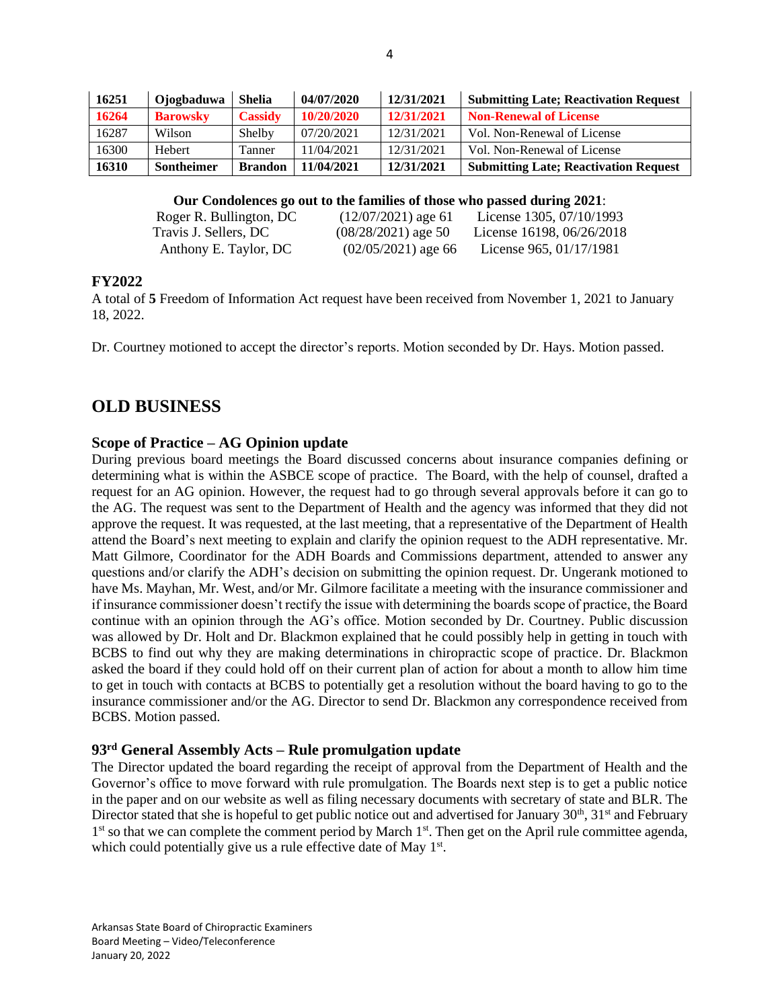| 16251 | Ojogbaduwa        | <b>Shelia</b>  | 04/07/2020 | 12/31/2021 | <b>Submitting Late; Reactivation Request</b> |
|-------|-------------------|----------------|------------|------------|----------------------------------------------|
| 16264 | <b>Barowsky</b>   | <b>Cassidy</b> | 10/20/2020 | 12/31/2021 | <b>Non-Renewal of License</b>                |
| 16287 | Wilson            | Shelby         | 07/20/2021 | 12/31/2021 | Vol. Non-Renewal of License                  |
| 16300 | Hebert            | Tanner         | 11/04/2021 | 12/31/2021 | Vol. Non-Renewal of License                  |
| 16310 | <b>Sontheimer</b> | <b>Brandon</b> | 11/04/2021 | 12/31/2021 | <b>Submitting Late; Reactivation Request</b> |

**Our Condolences go out to the families of those who passed during 2021**:

| Roger R. Bullington, DC | $(12/07/2021)$ age 61 | License 1305, $07/10/1993$ |
|-------------------------|-----------------------|----------------------------|
| Travis J. Sellers, DC   | $(08/28/2021)$ age 50 | License 16198, 06/26/2018  |
| Anthony E. Taylor, DC   | $(02/05/2021)$ age 66 | License 965, 01/17/1981    |

#### **FY2022**

A total of **5** Freedom of Information Act request have been received from November 1, 2021 to January 18, 2022.

Dr. Courtney motioned to accept the director's reports. Motion seconded by Dr. Hays. Motion passed.

### **OLD BUSINESS**

#### **Scope of Practice – AG Opinion update**

During previous board meetings the Board discussed concerns about insurance companies defining or determining what is within the ASBCE scope of practice. The Board, with the help of counsel, drafted a request for an AG opinion. However, the request had to go through several approvals before it can go to the AG. The request was sent to the Department of Health and the agency was informed that they did not approve the request. It was requested, at the last meeting, that a representative of the Department of Health attend the Board's next meeting to explain and clarify the opinion request to the ADH representative. Mr. Matt Gilmore, Coordinator for the ADH Boards and Commissions department, attended to answer any questions and/or clarify the ADH's decision on submitting the opinion request. Dr. Ungerank motioned to have Ms. Mayhan, Mr. West, and/or Mr. Gilmore facilitate a meeting with the insurance commissioner and if insurance commissioner doesn't rectify the issue with determining the boards scope of practice, the Board continue with an opinion through the AG's office. Motion seconded by Dr. Courtney. Public discussion was allowed by Dr. Holt and Dr. Blackmon explained that he could possibly help in getting in touch with BCBS to find out why they are making determinations in chiropractic scope of practice. Dr. Blackmon asked the board if they could hold off on their current plan of action for about a month to allow him time to get in touch with contacts at BCBS to potentially get a resolution without the board having to go to the insurance commissioner and/or the AG. Director to send Dr. Blackmon any correspondence received from BCBS. Motion passed.

#### **93rd General Assembly Acts – Rule promulgation update**

The Director updated the board regarding the receipt of approval from the Department of Health and the Governor's office to move forward with rule promulgation. The Boards next step is to get a public notice in the paper and on our website as well as filing necessary documents with secretary of state and BLR. The Director stated that she is hopeful to get public notice out and advertised for January  $30<sup>th</sup>$ ,  $31<sup>st</sup>$  and February 1<sup>st</sup> so that we can complete the comment period by March 1<sup>st</sup>. Then get on the April rule committee agenda, which could potentially give us a rule effective date of May 1st.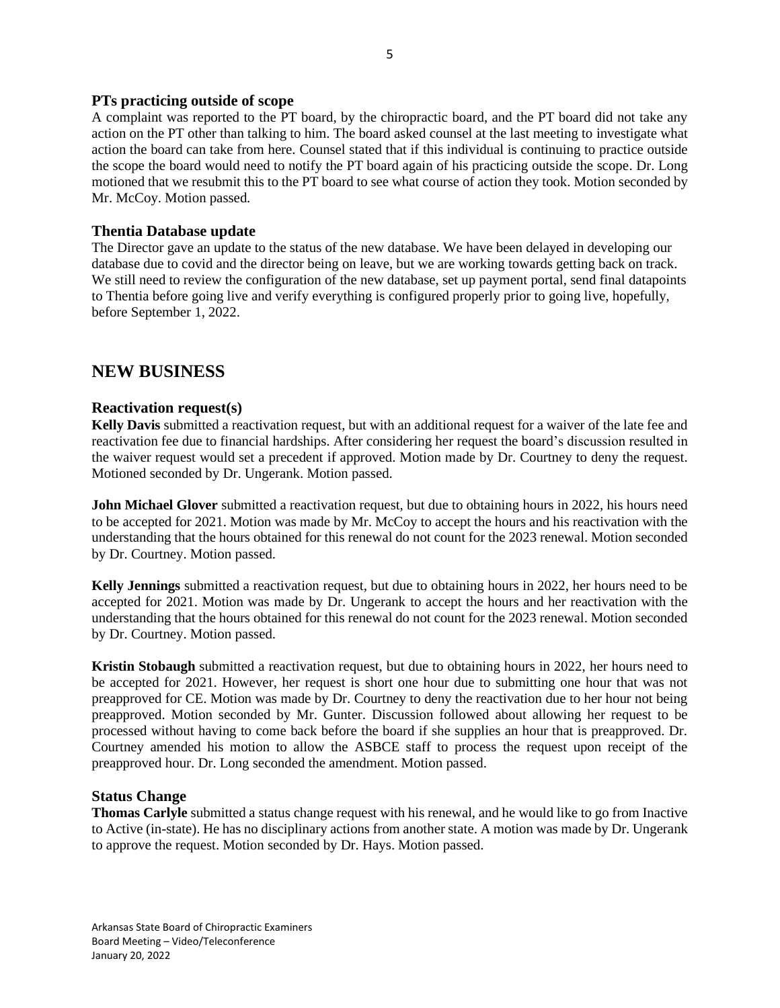#### **PTs practicing outside of scope**

A complaint was reported to the PT board, by the chiropractic board, and the PT board did not take any action on the PT other than talking to him. The board asked counsel at the last meeting to investigate what action the board can take from here. Counsel stated that if this individual is continuing to practice outside the scope the board would need to notify the PT board again of his practicing outside the scope. Dr. Long motioned that we resubmit this to the PT board to see what course of action they took. Motion seconded by Mr. McCoy. Motion passed.

#### **Thentia Database update**

The Director gave an update to the status of the new database. We have been delayed in developing our database due to covid and the director being on leave, but we are working towards getting back on track. We still need to review the configuration of the new database, set up payment portal, send final datapoints to Thentia before going live and verify everything is configured properly prior to going live, hopefully, before September 1, 2022.

### **NEW BUSINESS**

#### **Reactivation request(s)**

**Kelly Davis** submitted a reactivation request, but with an additional request for a waiver of the late fee and reactivation fee due to financial hardships. After considering her request the board's discussion resulted in the waiver request would set a precedent if approved. Motion made by Dr. Courtney to deny the request. Motioned seconded by Dr. Ungerank. Motion passed.

**John Michael Glover** submitted a reactivation request, but due to obtaining hours in 2022, his hours need to be accepted for 2021. Motion was made by Mr. McCoy to accept the hours and his reactivation with the understanding that the hours obtained for this renewal do not count for the 2023 renewal. Motion seconded by Dr. Courtney. Motion passed.

**Kelly Jennings** submitted a reactivation request, but due to obtaining hours in 2022, her hours need to be accepted for 2021. Motion was made by Dr. Ungerank to accept the hours and her reactivation with the understanding that the hours obtained for this renewal do not count for the 2023 renewal. Motion seconded by Dr. Courtney. Motion passed.

**Kristin Stobaugh** submitted a reactivation request, but due to obtaining hours in 2022, her hours need to be accepted for 2021. However, her request is short one hour due to submitting one hour that was not preapproved for CE. Motion was made by Dr. Courtney to deny the reactivation due to her hour not being preapproved. Motion seconded by Mr. Gunter. Discussion followed about allowing her request to be processed without having to come back before the board if she supplies an hour that is preapproved. Dr. Courtney amended his motion to allow the ASBCE staff to process the request upon receipt of the preapproved hour. Dr. Long seconded the amendment. Motion passed.

#### **Status Change**

**Thomas Carlyle** submitted a status change request with his renewal, and he would like to go from Inactive to Active (in-state). He has no disciplinary actions from another state. A motion was made by Dr. Ungerank to approve the request. Motion seconded by Dr. Hays. Motion passed.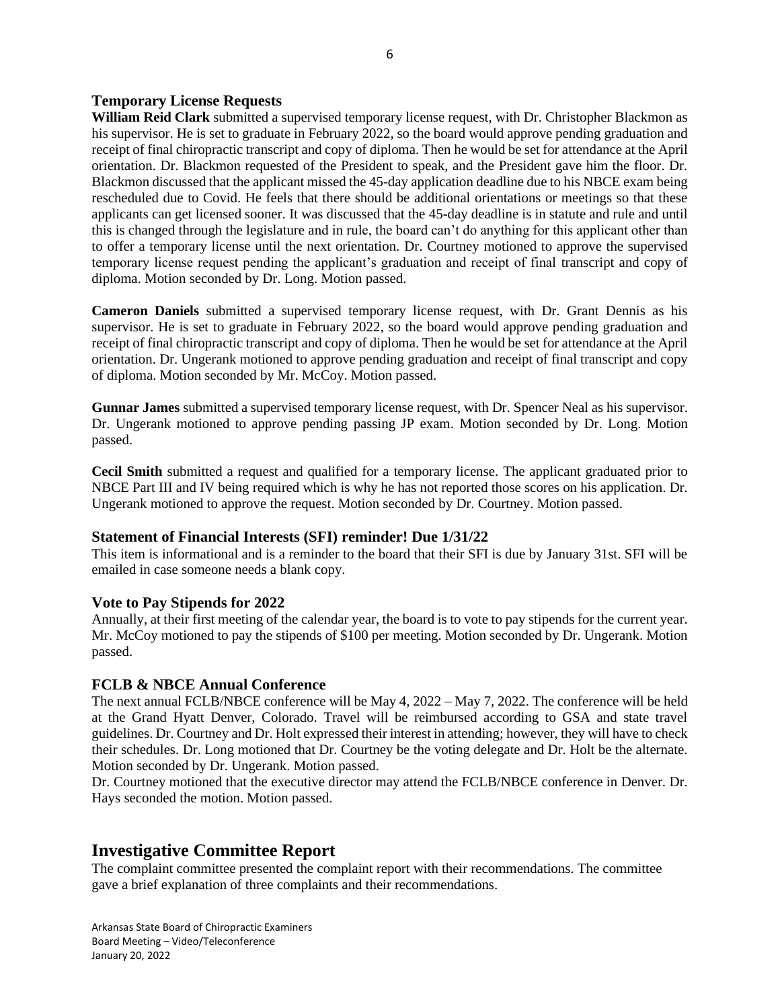#### **Temporary License Requests**

**William Reid Clark** submitted a supervised temporary license request, with Dr. Christopher Blackmon as his supervisor. He is set to graduate in February 2022, so the board would approve pending graduation and receipt of final chiropractic transcript and copy of diploma. Then he would be set for attendance at the April orientation. Dr. Blackmon requested of the President to speak, and the President gave him the floor. Dr. Blackmon discussed that the applicant missed the 45-day application deadline due to his NBCE exam being rescheduled due to Covid. He feels that there should be additional orientations or meetings so that these applicants can get licensed sooner. It was discussed that the 45-day deadline is in statute and rule and until this is changed through the legislature and in rule, the board can't do anything for this applicant other than to offer a temporary license until the next orientation. Dr. Courtney motioned to approve the supervised temporary license request pending the applicant's graduation and receipt of final transcript and copy of diploma. Motion seconded by Dr. Long. Motion passed.

**Cameron Daniels** submitted a supervised temporary license request, with Dr. Grant Dennis as his supervisor. He is set to graduate in February 2022, so the board would approve pending graduation and receipt of final chiropractic transcript and copy of diploma. Then he would be set for attendance at the April orientation. Dr. Ungerank motioned to approve pending graduation and receipt of final transcript and copy of diploma. Motion seconded by Mr. McCoy. Motion passed.

**Gunnar James** submitted a supervised temporary license request, with Dr. Spencer Neal as his supervisor. Dr. Ungerank motioned to approve pending passing JP exam. Motion seconded by Dr. Long. Motion passed.

**Cecil Smith** submitted a request and qualified for a temporary license. The applicant graduated prior to NBCE Part III and IV being required which is why he has not reported those scores on his application. Dr. Ungerank motioned to approve the request. Motion seconded by Dr. Courtney. Motion passed.

#### **Statement of Financial Interests (SFI) reminder! Due 1/31/22**

This item is informational and is a reminder to the board that their SFI is due by January 31st. SFI will be emailed in case someone needs a blank copy.

#### **Vote to Pay Stipends for 2022**

Annually, at their first meeting of the calendar year, the board is to vote to pay stipends for the current year. Mr. McCoy motioned to pay the stipends of \$100 per meeting. Motion seconded by Dr. Ungerank. Motion passed.

#### **FCLB & NBCE Annual Conference**

The next annual FCLB/NBCE conference will be May 4, 2022 – May 7, 2022. The conference will be held at the Grand Hyatt Denver, Colorado. Travel will be reimbursed according to GSA and state travel guidelines. Dr. Courtney and Dr. Holt expressed their interest in attending; however, they will have to check their schedules. Dr. Long motioned that Dr. Courtney be the voting delegate and Dr. Holt be the alternate. Motion seconded by Dr. Ungerank. Motion passed.

Dr. Courtney motioned that the executive director may attend the FCLB/NBCE conference in Denver. Dr. Hays seconded the motion. Motion passed.

### **Investigative Committee Report**

The complaint committee presented the complaint report with their recommendations. The committee gave a brief explanation of three complaints and their recommendations.